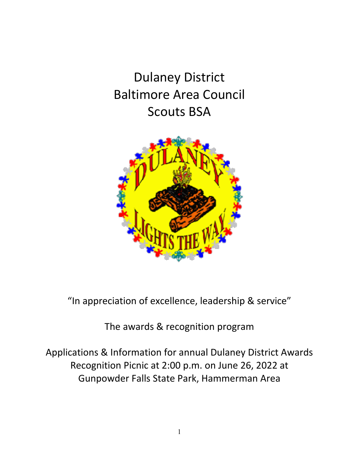Dulaney District Baltimore Area Council Scouts BSA



"In appreciation of excellence, leadership & service"

The awards & recognition program

Applications & Information for annual Dulaney District Awards Recognition Picnic at 2:00 p.m. on June 26, 2022 at Gunpowder Falls State Park, Hammerman Area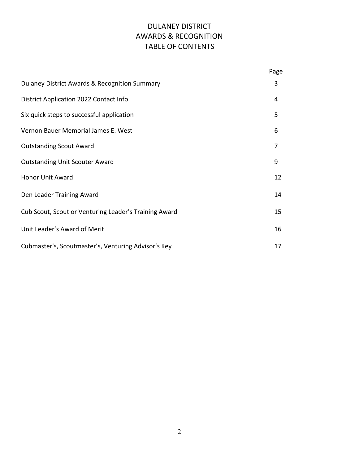## DULANEY DISTRICT AWARDS & RECOGNITION TABLE OF CONTENTS

|                                                       | Page           |
|-------------------------------------------------------|----------------|
| Dulaney District Awards & Recognition Summary         | 3              |
| District Application 2022 Contact Info                | 4              |
| Six quick steps to successful application             | 5              |
| Vernon Bauer Memorial James E. West                   | 6              |
| <b>Outstanding Scout Award</b>                        | $\overline{7}$ |
| <b>Outstanding Unit Scouter Award</b>                 | 9              |
| Honor Unit Award                                      | 12             |
| Den Leader Training Award                             | 14             |
| Cub Scout, Scout or Venturing Leader's Training Award | 15             |
| Unit Leader's Award of Merit                          | 16             |
| Cubmaster's, Scoutmaster's, Venturing Advisor's Key   | 17             |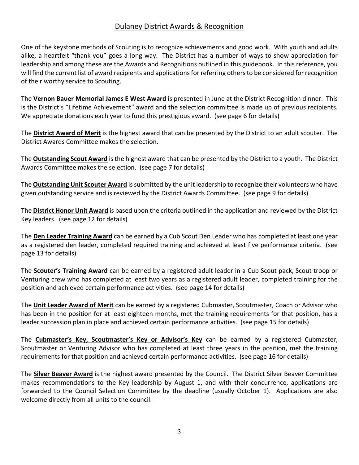#### Dulaney District Awards & Recognition

One of the keystone methods of Scouting is to recognize achievements and good work. With youth and adults alike, a heartfelt "thank you" goes a long way. The District has a number of ways to show appreciation for leadership and among these are the Awards and Recognitions outlined in this guidebook. In this reference, you will find the current list of award recipients and applications for referring others to be considered for recognition of their worthy service to Scouting.

The **Vernon Bauer Memorial James E West Award** is presented in June at the District Recognition dinner. This is the District's "Lifetime Achievement" award and the selection committee is made up of previous recipients. We appreciate donations each year to fund this prestigious award. (see page 6 for details)

The **District Award of Merit** is the highest award that can be presented by the District to an adult scouter. The District Awards Committee makes the selection.

The **Outstanding Scout Award** is the highest award that can be presented by the District to a youth. The District Awards Committee makes the selection. (see page 7 for details)

The **Outstanding Unit Scouter Award** is submitted by the unit leadership to recognize their volunteers who have given outstanding service and is reviewed by the District Awards Committee. (see page 9 for details)

The **District Honor Unit Award** is based upon the criteria outlined in the application and reviewed by the District Key leaders. (see page 12 for details)

The **Den Leader Training Award** can be earned by a Cub Scout Den Leader who has completed at least one year as a registered den leader, completed required training and achieved at least five performance criteria. (see page 13 for details)

The **Scouter's Training Award** can be earned by a registered adult leader in a Cub Scout pack, Scout troop or Venturing crew who has completed at least two years as a registered adult leader, completed training for the position and achieved certain performance activities. (see page 14 for details)

The **Unit Leader Award of Merit** can be earned by a registered Cubmaster, Scoutmaster, Coach or Advisor who has been in the position for at least eighteen months, met the training requirements for that position, has a leader succession plan in place and achieved certain performance activities. (see page 15 for details)

The **Cubmaster's Key, Scoutmaster's Key or Advisor's Key** can be earned by a registered Cubmaster, Scoutmaster or Venturing Advisor who has completed at least three years in the position, met the training requirements for that position and achieved certain performance activities. (see page 16 for details)

The **Silver Beaver Award** is the highest award presented by the Council. The District Silver Beaver Committee makes recommendations to the Key leadership by August 1, and with their concurrence, applications are forwarded to the Council Selection Committee by the deadline (usually October 1). Applications are also welcome directly from all units to the council.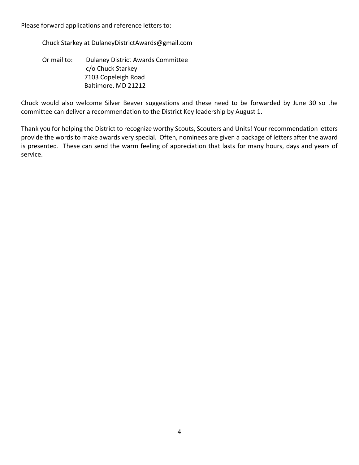Please forward applications and reference letters to:

Chuck Starkey at DulaneyDistrictAwards@gmail.com

Or mail to: Dulaney District Awards Committee c/o Chuck Starkey 7103 Copeleigh Road Baltimore, MD 21212

Chuck would also welcome Silver Beaver suggestions and these need to be forwarded by June 30 so the committee can deliver a recommendation to the District Key leadership by August 1.

Thank you for helping the District to recognize worthy Scouts, Scouters and Units! Your recommendation letters provide the words to make awards very special. Often, nominees are given a package of letters after the award is presented. These can send the warm feeling of appreciation that lasts for many hours, days and years of service.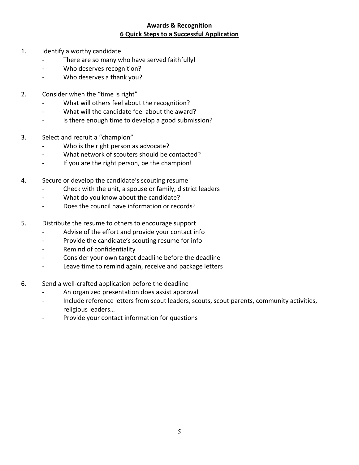#### **Awards & Recognition 6 Quick Steps to a Successful Application**

- 1. Identify a worthy candidate
	- There are so many who have served faithfully!
	- Who deserves recognition?
	- Who deserves a thank you?
- 2. Consider when the "time is right"
	- What will others feel about the recognition?
	- What will the candidate feel about the award?
	- is there enough time to develop a good submission?
- 3. Select and recruit a "champion"
	- Who is the right person as advocate?
	- What network of scouters should be contacted?
	- If you are the right person, be the champion!
- 4. Secure or develop the candidate's scouting resume
	- Check with the unit, a spouse or family, district leaders
	- What do you know about the candidate?
	- Does the council have information or records?
- 5. Distribute the resume to others to encourage support
	- Advise of the effort and provide your contact info
	- Provide the candidate's scouting resume for info
	- Remind of confidentiality
	- Consider your own target deadline before the deadline
	- Leave time to remind again, receive and package letters
- 6. Send a well-crafted application before the deadline
	- An organized presentation does assist approval
	- Include reference letters from scout leaders, scouts, scout parents, community activities, religious leaders…
	- Provide your contact information for questions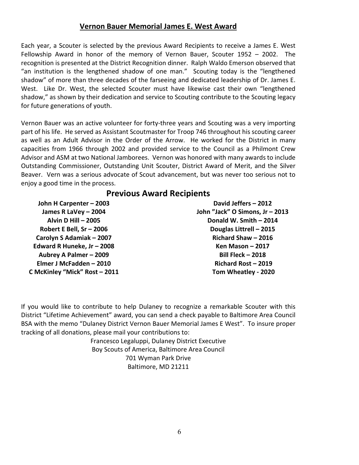#### **Vernon Bauer Memorial James E. West Award**

Each year, a Scouter is selected by the previous Award Recipients to receive a James E. West Fellowship Award in honor of the memory of Vernon Bauer, Scouter 1952 – 2002. The recognition is presented at the District Recognition dinner. Ralph Waldo Emerson observed that "an institution is the lengthened shadow of one man." Scouting today is the "lengthened shadow" of more than three decades of the farseeing and dedicated leadership of Dr. James E. West. Like Dr. West, the selected Scouter must have likewise cast their own "lengthened shadow," as shown by their dedication and service to Scouting contribute to the Scouting legacy for future generations of youth.

Vernon Bauer was an active volunteer for forty-three years and Scouting was a very importing part of his life. He served as Assistant Scoutmaster for Troop 746 throughout his scouting career as well as an Adult Advisor in the Order of the Arrow. He worked for the District in many capacities from 1966 through 2002 and provided service to the Council as a Philmont Crew Advisor and ASM at two National Jamborees. Vernon was honored with many awards to include Outstanding Commissioner, Outstanding Unit Scouter, District Award of Merit, and the Silver Beaver. Vern was a serious advocate of Scout advancement, but was never too serious not to enjoy a good time in the process.

#### **Previous Award Recipients**

**John H Carpenter – 2003 James R LaVey – 2004 Alvin D Hill – 2005 Robert E Bell, Sr – 2006 Carolyn S Adamiak – 2007 Edward R Huneke, Jr – 2008 Aubrey A Palmer – 2009 Elmer J McFadden – 2010 C McKinley "Mick" Rost – 2011**

**David Jeffers – 2012 John "Jack" O Simons, Jr – 2013 Donald W. Smith – 2014 Douglas Littrell – 2015 Richard Shaw – 2016 Ken Mason – 2017 Bill Fleck – 2018 Richard Rost – 2019 Tom Wheatley - 2020**

If you would like to contribute to help Dulaney to recognize a remarkable Scouter with this District "Lifetime Achievement" award, you can send a check payable to Baltimore Area Council BSA with the memo "Dulaney District Vernon Bauer Memorial James E West". To insure proper tracking of all donations, please mail your contributions to:

> Francesco Legaluppi, Dulaney District Executive Boy Scouts of America, Baltimore Area Council 701 Wyman Park Drive Baltimore, MD 21211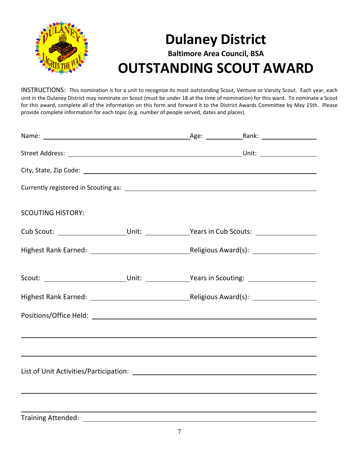

# **Dulaney District Baltimore Area Council, BSA OUTSTANDING SCOUT AWARD**

INSTRUCTIONS: This nomination is for a unit to recognize its most outstanding Scout, Venture or Varsity Scout. Each year, each unit in the Dulaney District may nominate on Scout (must be under 18 at the time of nomination) for this ward. To nominate a Scout for this award, complete all of the information on this form and forward it to the District Awards Committee by May 15th. Please provide complete information for each topic (e.g. number of people served, dates and places).

| <b>SCOUTING HISTORY:</b>                                                                                             |  |                                                                                                                  |  |
|----------------------------------------------------------------------------------------------------------------------|--|------------------------------------------------------------------------------------------------------------------|--|
| Cub Scout: ________________________Unit: _______________Years in Cub Scouts: ______________________                  |  |                                                                                                                  |  |
|                                                                                                                      |  |                                                                                                                  |  |
|                                                                                                                      |  |                                                                                                                  |  |
|                                                                                                                      |  |                                                                                                                  |  |
|                                                                                                                      |  |                                                                                                                  |  |
| <u> 1989 - Andrea Santa Andrea Santa Andrea Andrea Santa Andrea Andrea Andrea Andrea Andrea Andrea Andrea Andrea</u> |  |                                                                                                                  |  |
|                                                                                                                      |  |                                                                                                                  |  |
| ,我们也不会有什么。""我们的人,我们也不会有什么?""我们的人,我们也不会有什么?""我们的人,我们也不会有什么?""我们的人,我们也不会有什么?""我们的人                                     |  |                                                                                                                  |  |
|                                                                                                                      |  | and the control of the control of the control of the control of the control of the control of the control of the |  |
| <b>Training Attended:</b>                                                                                            |  |                                                                                                                  |  |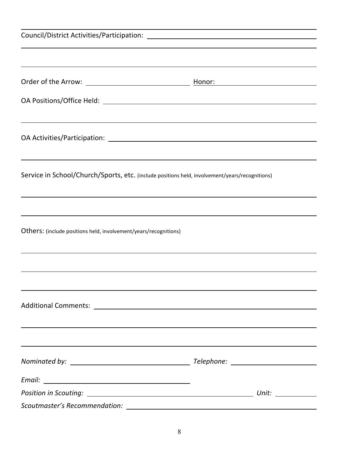| <u> 1989 - Johann Stoff, amerikansk politiker (d. 1989)</u>                                    |  |
|------------------------------------------------------------------------------------------------|--|
|                                                                                                |  |
|                                                                                                |  |
| Service in School/Church/Sports, etc. (include positions held, involvement/years/recognitions) |  |
|                                                                                                |  |
| Others: (include positions held, involvement/years/recognitions)                               |  |
|                                                                                                |  |
|                                                                                                |  |
|                                                                                                |  |
|                                                                                                |  |
|                                                                                                |  |
|                                                                                                |  |
|                                                                                                |  |
|                                                                                                |  |
|                                                                                                |  |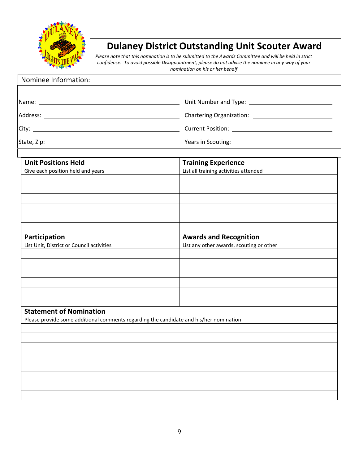

# **Dulaney District Outstanding Unit Scouter Award**

*Please note that this nomination is to be submitted to the Awards Committee and will be held in strict confidence. To avoid possible Disappointment, please do not advise the nominee in any way of your nomination on his or her behalf*

| Nominee Information:                                                                                                     |                                                                                                                                                                                                                                |
|--------------------------------------------------------------------------------------------------------------------------|--------------------------------------------------------------------------------------------------------------------------------------------------------------------------------------------------------------------------------|
|                                                                                                                          |                                                                                                                                                                                                                                |
|                                                                                                                          |                                                                                                                                                                                                                                |
|                                                                                                                          |                                                                                                                                                                                                                                |
|                                                                                                                          |                                                                                                                                                                                                                                |
|                                                                                                                          | State, Zip: 2000 March 2001 March 2001 March 2001 March 2001 March 2001 March 2001 March 2001 March 2001 March 2001 March 2001 March 2001 March 2001 March 2001 March 2001 March 2001 March 2001 March 2001 March 2001 March 2 |
| <b>Unit Positions Held</b><br>Give each position held and years                                                          | <b>Training Experience</b><br>List all training activities attended                                                                                                                                                            |
|                                                                                                                          |                                                                                                                                                                                                                                |
| Participation                                                                                                            | <b>Awards and Recognition</b>                                                                                                                                                                                                  |
| List Unit, District or Council activities                                                                                | List any other awards, scouting or other                                                                                                                                                                                       |
|                                                                                                                          |                                                                                                                                                                                                                                |
|                                                                                                                          |                                                                                                                                                                                                                                |
| <b>Statement of Nomination</b><br>Please provide some additional comments regarding the candidate and his/her nomination |                                                                                                                                                                                                                                |
|                                                                                                                          |                                                                                                                                                                                                                                |
|                                                                                                                          |                                                                                                                                                                                                                                |
|                                                                                                                          |                                                                                                                                                                                                                                |
|                                                                                                                          |                                                                                                                                                                                                                                |
|                                                                                                                          |                                                                                                                                                                                                                                |
|                                                                                                                          |                                                                                                                                                                                                                                |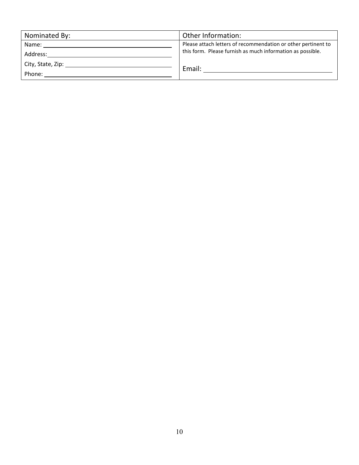| Nominated By: | Other Information:                                            |
|---------------|---------------------------------------------------------------|
| Name: Name    | Please attach letters of recommendation or other pertinent to |
| Address:      | this form. Please furnish as much information as possible.    |
|               | Email:                                                        |
| Phone:        |                                                               |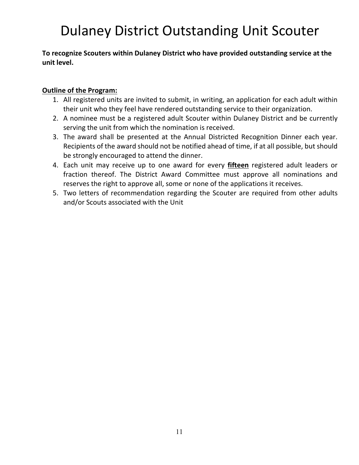# Dulaney District Outstanding Unit Scouter

#### **To recognize Scouters within Dulaney District who have provided outstanding service at the unit level.**

#### **Outline of the Program:**

- 1. All registered units are invited to submit, in writing, an application for each adult within their unit who they feel have rendered outstanding service to their organization.
- 2. A nominee must be a registered adult Scouter within Dulaney District and be currently serving the unit from which the nomination is received.
- 3. The award shall be presented at the Annual Districted Recognition Dinner each year. Recipients of the award should not be notified ahead of time, if at all possible, but should be strongly encouraged to attend the dinner.
- 4. Each unit may receive up to one award for every **fifteen** registered adult leaders or fraction thereof. The District Award Committee must approve all nominations and reserves the right to approve all, some or none of the applications it receives.
- 5. Two letters of recommendation regarding the Scouter are required from other adults and/or Scouts associated with the Unit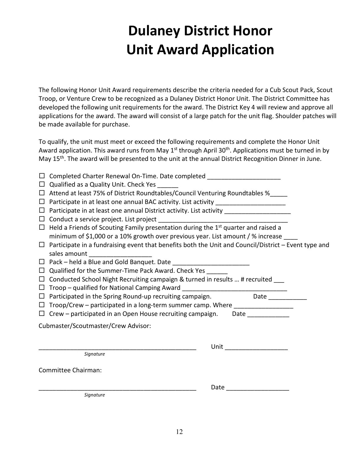# **Dulaney District Honor Unit Award Application**

The following Honor Unit Award requirements describe the criteria needed for a Cub Scout Pack, Scout Troop, or Venture Crew to be recognized as a Dulaney District Honor Unit. The District Committee has developed the following unit requirements for the award. The District Key 4 will review and approve all applications for the award. The award will consist of a large patch for the unit flag. Shoulder patches will be made available for purchase.

To qualify, the unit must meet or exceed the following requirements and complete the Honor Unit Award application. This award runs from May  $1^{st}$  through April 30<sup>th</sup>. Applications must be turned in by May 15<sup>th</sup>. The award will be presented to the unit at the annual District Recognition Dinner in June.

- $\Box$  Completed Charter Renewal On-Time. Date completed
- $\Box$  Qualified as a Quality Unit. Check Yes
- $\Box$  Attend at least 75% of District Roundtables/Council Venturing Roundtables %
- Participate in at least one annual BAC activity. List activity \_\_\_\_\_\_\_\_\_\_\_\_\_\_\_\_\_\_\_\_
- Participate in at least one annual District activity. List activity \_\_\_\_\_\_\_\_\_\_\_\_\_\_\_\_\_\_\_
- $\Box$  Conduct a service project. List project
- $\Box$  Held a Friends of Scouting Family presentation during the 1<sup>st</sup> quarter and raised a minimum of \$1,000 or a 10% growth over previous year. List amount / % increase \_\_\_\_
- $\Box$  Participate in a fundraising event that benefits both the Unit and Council/District Event type and sales amount
- $\Box$  Pack held a Blue and Gold Banquet. Date
- $\Box$  Qualified for the Summer-Time Pack Award. Check Yes
- $\Box$  Conducted School Night Recruiting campaign & turned in results ... # recruited
- Troop qualified for National Camping Award \_\_\_\_\_\_\_\_\_\_\_\_\_\_\_\_\_\_\_\_\_\_\_\_\_\_\_\_\_\_
- $\Box$  Participated in the Spring Round-up recruiting campaign.  $\Box$  Date
- $\Box$  Troop/Crew participated in a long-term summer camp. Where
- $\Box$  Crew participated in an Open House recruiting campaign. Date

Cubmaster/Scoutmaster/Crew Advisor:

|                     | Unit |
|---------------------|------|
| Signature           |      |
| Committee Chairman: |      |
|                     | Date |
| Signature           |      |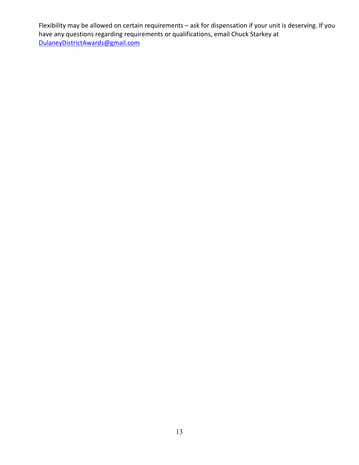Flexibility may be allowed on certain requirements – ask for dispensation if your unit is deserving. If you have any questions regarding requirements or qualifications, email Chuck Starkey at [DulaneyDistrictAwards@gmail.com](mailto:DulaneyDistrictAwards@gmail.com)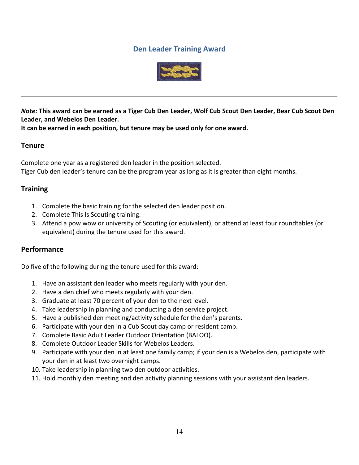#### **Den Leader Training Award**



*Note:* **This award can be earned as a Tiger Cub Den Leader, Wolf Cub Scout Den Leader, Bear Cub Scout Den Leader, and Webelos Den Leader.** 

**It can be earned in each position, but tenure may be used only for one award.**

#### **Tenure**

Complete one year as a registered den leader in the position selected. Tiger Cub den leader's tenure can be the program year as long as it is greater than eight months.

#### **Training**

- 1. Complete the basic training for the selected den leader position.
- 2. Complete This Is Scouting training.
- 3. Attend a pow wow or university of Scouting (or equivalent), or attend at least four roundtables (or equivalent) during the tenure used for this award.

#### **Performance**

Do five of the following during the tenure used for this award:

- 1. Have an assistant den leader who meets regularly with your den.
- 2. Have a den chief who meets regularly with your den.
- 3. Graduate at least 70 percent of your den to the next level.
- 4. Take leadership in planning and conducting a den service project.
- 5. Have a published den meeting/activity schedule for the den's parents.
- 6. Participate with your den in a Cub Scout day camp or resident camp.
- 7. Complete Basic Adult Leader Outdoor Orientation (BALOO).
- 8. Complete Outdoor Leader Skills for Webelos Leaders.
- 9. Participate with your den in at least one family camp; if your den is a Webelos den, participate with your den in at least two overnight camps.
- 10. Take leadership in planning two den outdoor activities.
- 11. Hold monthly den meeting and den activity planning sessions with your assistant den leaders.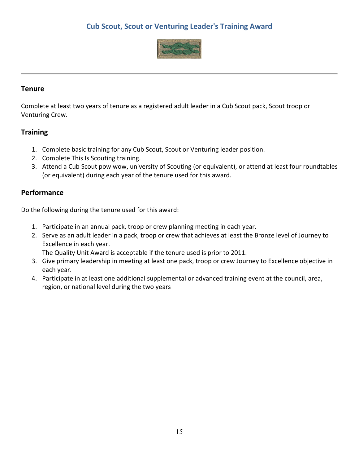### **Cub Scout, Scout or Venturing Leader's Training Award**



#### **Tenure**

Complete at least two years of tenure as a registered adult leader in a Cub Scout pack, Scout troop or Venturing Crew.

#### **Training**

- 1. Complete basic training for any Cub Scout, Scout or Venturing leader position.
- 2. Complete This Is Scouting training.
- 3. Attend a Cub Scout pow wow, university of Scouting (or equivalent), or attend at least four roundtables (or equivalent) during each year of the tenure used for this award.

#### **Performance**

Do the following during the tenure used for this award:

- 1. Participate in an annual pack, troop or crew planning meeting in each year.
- 2. Serve as an adult leader in a pack, troop or crew that achieves at least the Bronze level of Journey to Excellence in each year.

The Quality Unit Award is acceptable if the tenure used is prior to 2011.

- 3. Give primary leadership in meeting at least one pack, troop or crew Journey to Excellence objective in each year.
- 4. Participate in at least one additional supplemental or advanced training event at the council, area, region, or national level during the two years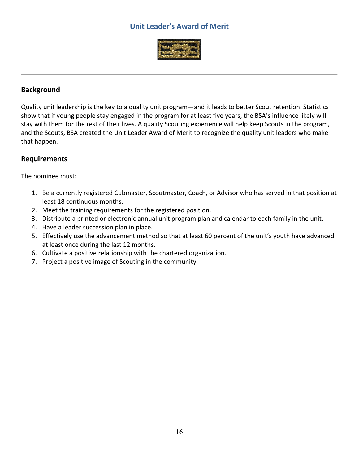### **Unit Leader's Award of Merit**



#### **Background**

Quality unit leadership is the key to a quality unit program—and it leads to better Scout retention. Statistics show that if young people stay engaged in the program for at least five years, the BSA's influence likely will stay with them for the rest of their lives. A quality Scouting experience will help keep Scouts in the program, and the Scouts, BSA created the Unit Leader Award of Merit to recognize the quality unit leaders who make that happen.

#### **Requirements**

The nominee must:

- 1. Be a currently registered Cubmaster, Scoutmaster, Coach, or Advisor who has served in that position at least 18 continuous months.
- 2. Meet the training requirements for the registered position.
- 3. Distribute a printed or electronic annual unit program plan and calendar to each family in the unit.
- 4. Have a leader succession plan in place.
- 5. Effectively use the advancement method so that at least 60 percent of the unit's youth have advanced at least once during the last 12 months.
- 6. Cultivate a positive relationship with the chartered organization.
- 7. Project a positive image of Scouting in the community.